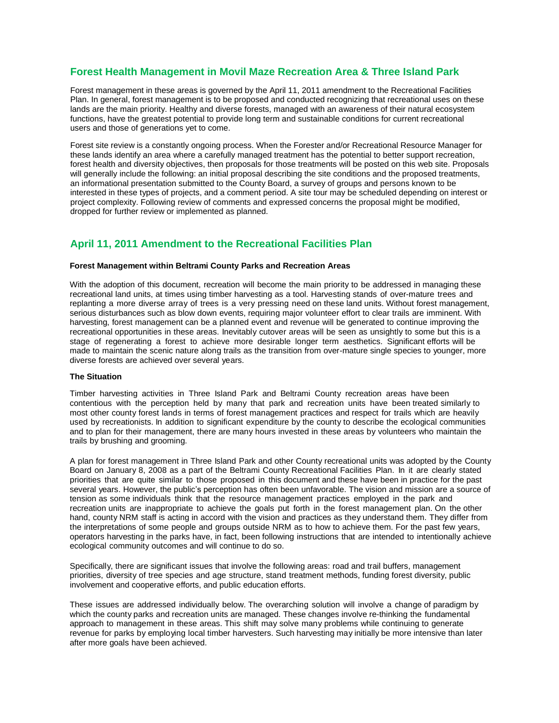### **Forest Health Management in Movil Maze Recreation Area & Three Island Park**

Forest management in these areas is governed by the April 11, 2011 amendment to the Recreational Facilities Plan. In general, forest management is to be proposed and conducted recognizing that recreational uses on these lands are the main priority. Healthy and diverse forests, managed with an awareness of their natural ecosystem functions, have the greatest potential to provide long term and sustainable conditions for current recreational users and those of generations yet to come.

Forest site review is a constantly ongoing process. When the Forester and/or Recreational Resource Manager for these lands identify an area where a carefully managed treatment has the potential to better support recreation, forest health and diversity objectives, then proposals for those treatments will be posted on this web site. Proposals will generally include the following: an initial proposal describing the site conditions and the proposed treatments, an informational presentation submitted to the County Board, a survey of groups and persons known to be interested in these types of projects, and a comment period. A site tour may be scheduled depending on interest or project complexity. Following review of comments and expressed concerns the proposal might be modified, dropped for further review or implemented as planned.

## **April 11, 2011 Amendment to the Recreational Facilities Plan**

#### **Forest Management within Beltrami County Parks and Recreation Areas**

With the adoption of this document, recreation will become the main priority to be addressed in managing these recreational land units, at times using timber harvesting as a tool. Harvesting stands of over-mature trees and replanting a more diverse array of trees is a very pressing need on these land units. Without forest management, serious disturbances such as blow down events, requiring major volunteer effort to clear trails are imminent. With harvesting, forest management can be a planned event and revenue will be generated to continue improving the recreational opportunities in these areas. Inevitably cutover areas will be seen as unsightly to some but this is a stage of regenerating a forest to achieve more desirable longer term aesthetics. Significant efforts will be made to maintain the scenic nature along trails as the transition from over-mature single species to younger, more diverse forests are achieved over several years.

#### **The Situation**

Timber harvesting activities in Three Island Park and Beltrami County recreation areas have been contentious with the perception held by many that park and recreation units have been treated similarly to most other county forest lands in terms of forest management practices and respect for trails which are heavily used by recreationists. In addition to significant expenditure by the county to describe the ecological communities and to plan for their management, there are many hours invested in these areas by volunteers who maintain the trails by brushing and grooming.

A plan for forest management in Three Island Park and other County recreational units was adopted by the County Board on January 8, 2008 as a part of the Beltrami County Recreational Facilities Plan. In it are clearly stated priorities that are quite similar to those proposed in this document and these have been in practice for the past several years. However, the public's perception has often been unfavorable. The vision and mission are a source of tension as some individuals think that the resource management practices employed in the park and recreation units are inappropriate to achieve the goals put forth in the forest management plan. On the other hand, county NRM staff is acting in accord with the vision and practices as they understand them. They differ from the interpretations of some people and groups outside NRM as to how to achieve them. For the past few years, operators harvesting in the parks have, in fact, been following instructions that are intended to intentionally achieve ecological community outcomes and will continue to do so.

Specifically, there are significant issues that involve the following areas: road and trail buffers, management priorities, diversity of tree species and age structure, stand treatment methods, funding forest diversity, public involvement and cooperative efforts, and public education efforts.

These issues are addressed individually below. The overarching solution will involve a change of paradigm by which the county parks and recreation units are managed. These changes involve re-thinking the fundamental approach to management in these areas. This shift may solve many problems while continuing to generate revenue for parks by employing local timber harvesters. Such harvesting may initially be more intensive than later after more goals have been achieved.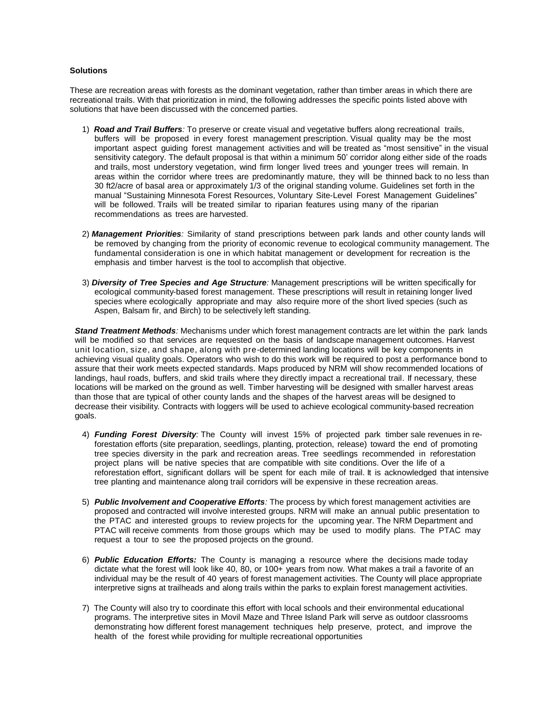#### **Solutions**

These are recreation areas with forests as the dominant vegetation, rather than timber areas in which there are recreational trails. With that prioritization in mind, the following addresses the specific points listed above with solutions that have been discussed with the concerned parties.

- 1) *Road and Trail Buffers:* To preserve or create visual and vegetative buffers along recreational trails, buffers will be proposed in every forest management prescription. Visual quality may be the most important aspect guiding forest management activities and will be treated as "most sensitive" in the visual sensitivity category. The default proposal is that within a minimum 50' corridor along either side of the roads and trails, most understory vegetation, wind firm longer lived trees and younger trees will remain. In areas within the corridor where trees are predominantly mature, they will be thinned back to no less than 30 ft2/acre of basal area or approximately 1/3 of the original standing volume. Guidelines set forth in the manual "Sustaining Minnesota Forest Resources, Voluntary Site-Level Forest Management Guidelines" will be followed. Trails will be treated similar to riparian features using many of the riparian recommendations as trees are harvested.
- 2) *Management Priorities:* Similarity of stand prescriptions between park lands and other county lands will be removed by changing from the priority of economic revenue to ecological community management. The fundamental consideration is one in which habitat management or development for recreation is the emphasis and timber harvest is the tool to accomplish that objective.
- 3) *Diversity of Tree Species and Age Structure:* Management prescriptions will be written specifically for ecological community-based forest management. These prescriptions will result in retaining longer lived species where ecologically appropriate and may also require more of the short lived species (such as Aspen, Balsam fir, and Birch) to be selectively left standing.

*Stand Treatment Methods:* Mechanisms under which forest management contracts are let within the park lands will be modified so that services are requested on the basis of landscape management outcomes. Harvest unit location, size, and shape, along with pre-determined landing locations will be key components in achieving visual quality goals. Operators who wish to do this work will be required to post a performance bond to assure that their work meets expected standards. Maps produced by NRM will show recommended locations of landings, haul roads, buffers, and skid trails where they directly impact a recreational trail. If necessary, these locations will be marked on the ground as well. Timber harvesting will be designed with smaller harvest areas than those that are typical of other county lands and the shapes of the harvest areas will be designed to decrease their visibility. Contracts with loggers will be used to achieve ecological community-based recreation goals.

- 4) *Funding Forest Diversity:* The County will invest 15% of projected park timber sale revenues in reforestation efforts (site preparation, seedlings, planting, protection, release) toward the end of promoting tree species diversity in the park and recreation areas. Tree seedlings recommended in reforestation project plans will be native species that are compatible with site conditions. Over the life of a reforestation effort, significant dollars will be spent for each mile of trail. It is acknowledged that intensive tree planting and maintenance along trail corridors will be expensive in these recreation areas.
- 5) *Public Involvement and Cooperative Efforts:* The process by which forest management activities are proposed and contracted will involve interested groups. NRM will make an annual public presentation to the PTAC and interested groups to review projects for the upcoming year. The NRM Department and PTAC will receive comments from those groups which may be used to modify plans. The PTAC may request a tour to see the proposed projects on the ground.
- 6) *Public Education Efforts:* The County is managing a resource where the decisions made today dictate what the forest will look like 40, 80, or 100+ years from now. What makes a trail a favorite of an individual may be the result of 40 years of forest management activities. The County will place appropriate interpretive signs at trailheads and along trails within the parks to explain forest management activities.
- 7) The County will also try to coordinate this effort with local schools and their environmental educational programs. The interpretive sites in Movil Maze and Three Island Park will serve as outdoor classrooms demonstrating how different forest management techniques help preserve, protect, and improve the health of the forest while providing for multiple recreational opportunities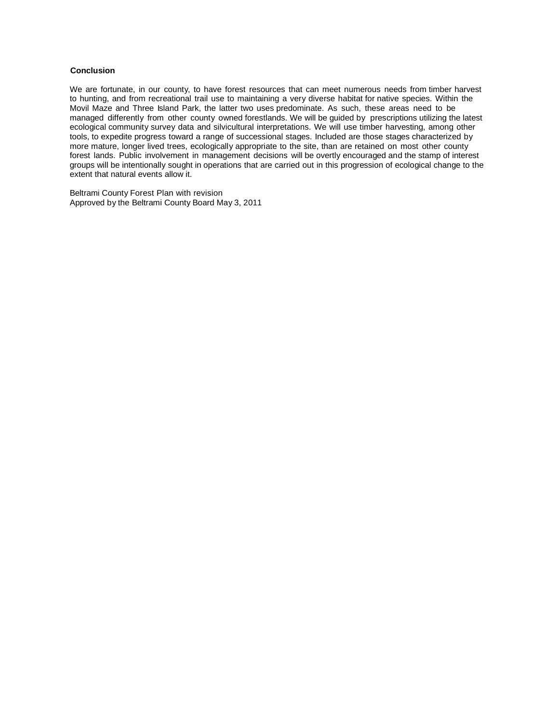#### **Conclusion**

We are fortunate, in our county, to have forest resources that can meet numerous needs from timber harvest to hunting, and from recreational trail use to maintaining a very diverse habitat for native species. Within the Movil Maze and Three Island Park, the latter two uses predominate. As such, these areas need to be managed differently from other county owned forestlands. We will be guided by prescriptions utilizing the latest ecological community survey data and silvicultural interpretations. We will use timber harvesting, among other tools, to expedite progress toward a range of successional stages. Included are those stages characterized by more mature, longer lived trees, ecologically appropriate to the site, than are retained on most other county forest lands. Public involvement in management decisions will be overtly encouraged and the stamp of interest groups will be intentionally sought in operations that are carried out in this progression of ecological change to the extent that natural events allow it.

Beltrami County Forest Plan with revision Approved by the Beltrami County Board May 3, 2011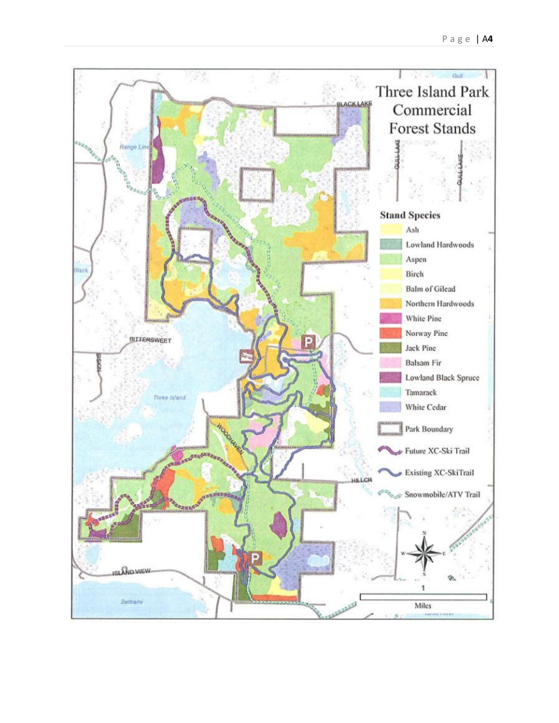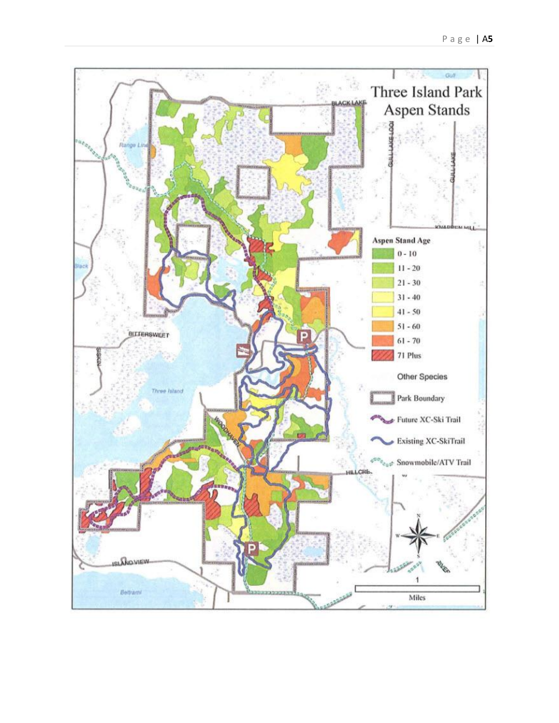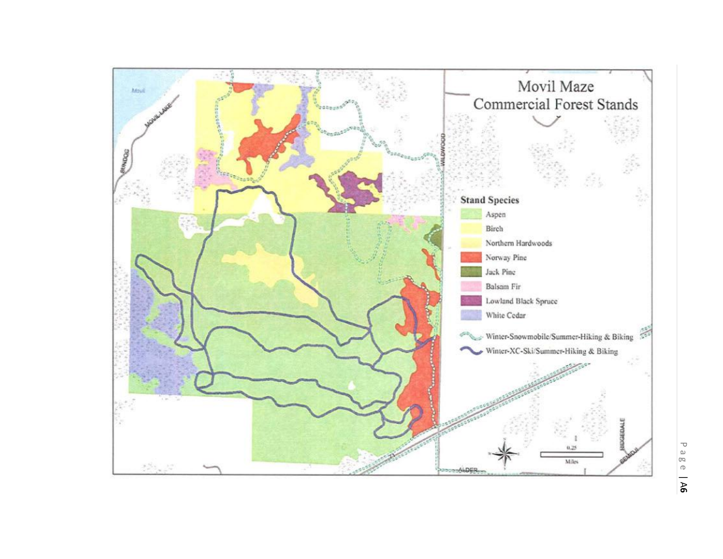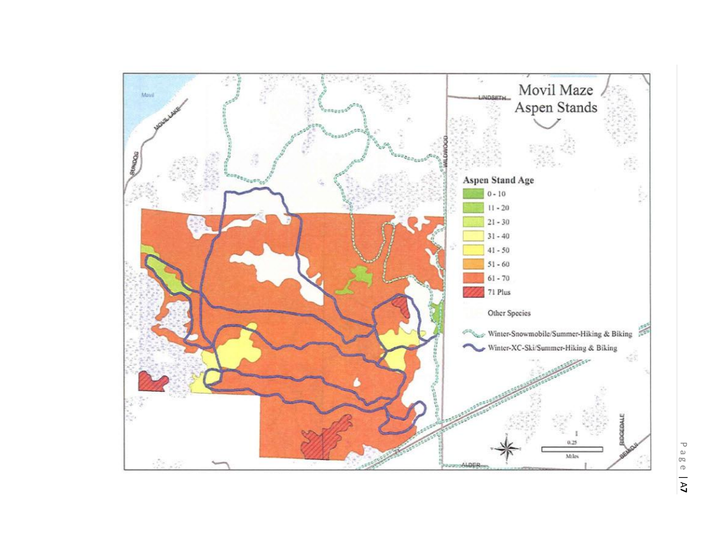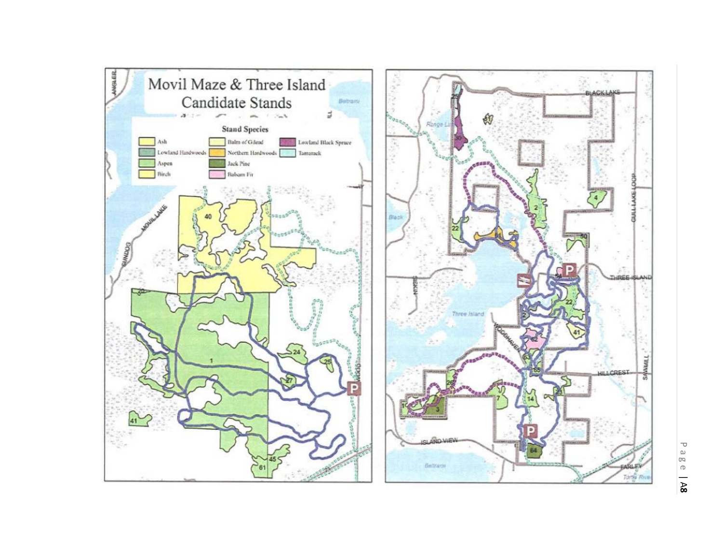